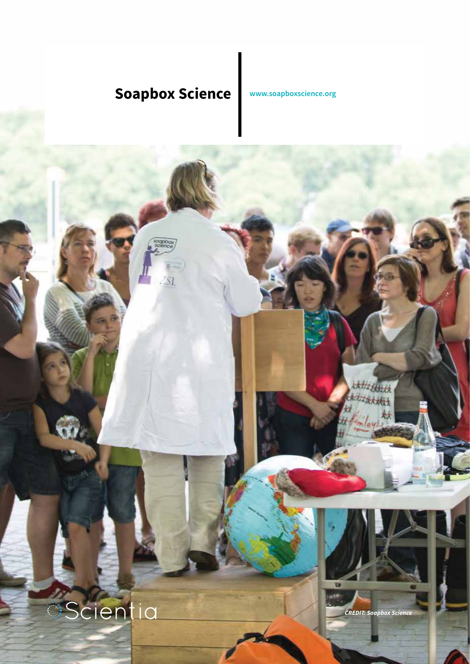# **Soapbox Science [www.soapboxscience.org](www.soapboxscience.org%20)**

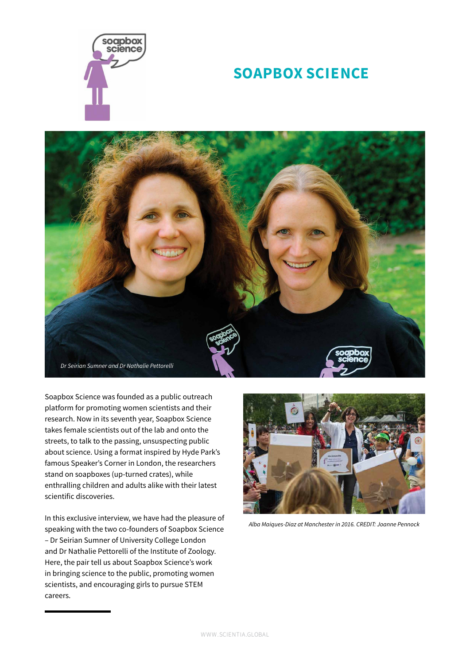

## **SOAPBOX SCIENCE**



Soapbox Science was founded as a public outreach platform for promoting women scientists and their research. Now in its seventh year, Soapbox Science takes female scientists out of the lab and onto the streets, to talk to the passing, unsuspecting public about science. Using a format inspired by Hyde Park's famous Speaker's Corner in London, the researchers stand on soapboxes (up-turned crates), while enthralling children and adults alike with their latest scientific discoveries.

In this exclusive interview, we have had the pleasure of speaking with the two co-founders of Soapbox Science – Dr Seirian Sumner of University College London and Dr Nathalie Pettorelli of the Institute of Zoology. Here, the pair tell us about Soapbox Science's work in bringing science to the public, promoting women scientists, and encouraging girls to pursue STEM careers.



*Alba Maiques-Diaz at Manchester in 2016. CREDIT: Joanne Pennock*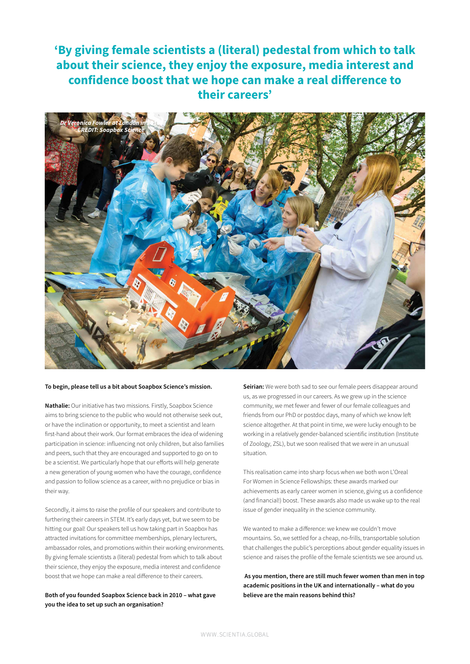### **'By giving female scientists a (literal) pedestal from which to talk about their science, they enjoy the exposure, media interest and confidence boost that we hope can make a real difference to their careers'**



#### **To begin, please tell us a bit about Soapbox Science's mission.**

**Nathalie:** Our initiative has two missions. Firstly, Soapbox Science aims to bring science to the public who would not otherwise seek out, or have the inclination or opportunity, to meet a scientist and learn first-hand about their work. Our format embraces the idea of widening participation in science: influencing not only children, but also families and peers, such that they are encouraged and supported to go on to be a scientist. We particularly hope that our efforts will help generate a new generation of young women who have the courage, confidence and passion to follow science as a career, with no prejudice or bias in their way.

Secondly, it aims to raise the profile of our speakers and contribute to furthering their careers in STEM. It's early days yet, but we seem to be hitting our goal! Our speakers tell us how taking part in Soapbox has attracted invitations for committee memberships, plenary lecturers, ambassador roles, and promotions within their working environments. By giving female scientists a (literal) pedestal from which to talk about their science, they enjoy the exposure, media interest and confidence boost that we hope can make a real difference to their careers.

#### **Both of you founded Soapbox Science back in 2010 – what gave you the idea to set up such an organisation?**

**Seirian:** We were both sad to see our female peers disappear around us, as we progressed in our careers. As we grew up in the science community, we met fewer and fewer of our female colleagues and friends from our PhD or postdoc days, many of which we know left science altogether. At that point in time, we were lucky enough to be working in a relatively gender-balanced scientific institution (Institute of Zoology, ZSL), but we soon realised that we were in an unusual situation.

This realisation came into sharp focus when we both won L'Oreal For Women in Science Fellowships: these awards marked our achievements as early career women in science, giving us a confidence (and financial!) boost. These awards also made us wake up to the real issue of gender inequality in the science community.

We wanted to make a difference: we knew we couldn't move mountains. So, we settled for a cheap, no-frills, transportable solution that challenges the public's perceptions about gender equality issues in science and raises the profile of the female scientists we see around us.

 **As you mention, there are still much fewer women than men in top academic positions in the UK and internationally – what do you believe are the main reasons behind this?**